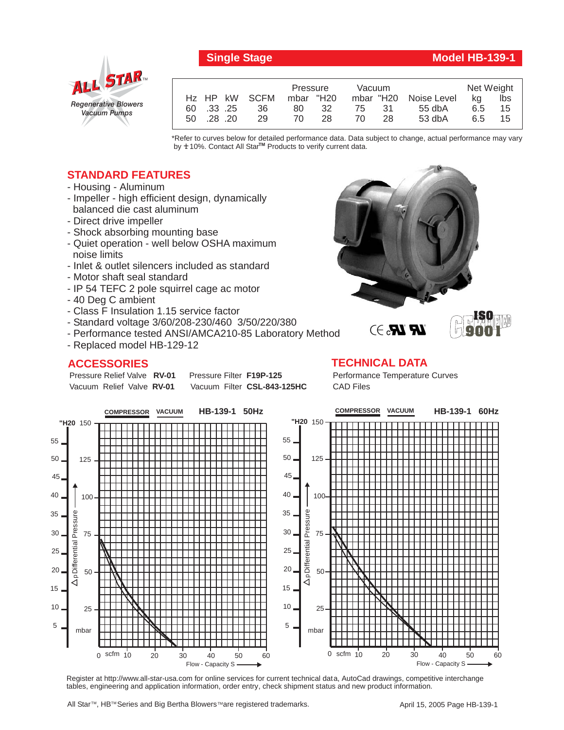

## **Single Stage Model HB-139-1**

|            |               | Pressure  |      | Vacuum |     |                       | Net Weight |     |
|------------|---------------|-----------|------|--------|-----|-----------------------|------------|-----|
|            | Hz HP kW SCFM | mbar "H20 |      |        |     | mbar "H20 Noise Level | - ka       | Ibs |
| 60 .33 .25 | 36            | 80        | - 32 | 75 31  |     | 55 dbA                | 6.5        | 15  |
| 50 .28 .20 | 29            | 70.       | 28   | 70     | -28 | 53 dbA                | 6.5        | 15  |

\*Refer to curves below for detailed performance data. Data subject to change, actual performance may vary by  $\pm$  10%. Contact All Star<sup>TM</sup> Products to verify current data.

## **STANDARD FEATURES**

- Housing Aluminum
- Impeller high efficient design, dynamically balanced die cast aluminum
- Direct drive impeller
- Shock absorbing mounting base
- Quiet operation well below OSHA maximum noise limits
- Inlet & outlet silencers included as standard
- Motor shaft seal standard
- IP 54 TEFC 2 pole squirrel cage ac motor
- 40 Deg C ambient
- Class F Insulation 1.15 service factor
- Standard voltage 3/60/208-230/460 3/50/220/380
- Performance tested ANSI/AMCA210-85 Laboratory Method
- Replaced model HB-129-12

## **ACCESSORIES**

Pressure Relief Valve RV-01 Vacuum Relief Valve RV-01

**Pressure Filter F19P-125** Vacuum Filter CSL-843-125HC



## **TECHNICAL DATA**

Performance Temperature Curves CAD Files



Register at http://www.all-star-usa.com for online services for current technical data, AutoCad drawings, competitive interchange tables, engineering and application information, order entry, check shipment status and new product information.

All Star™, HB™ Series and Big Bertha Blowers™are registered trademarks.